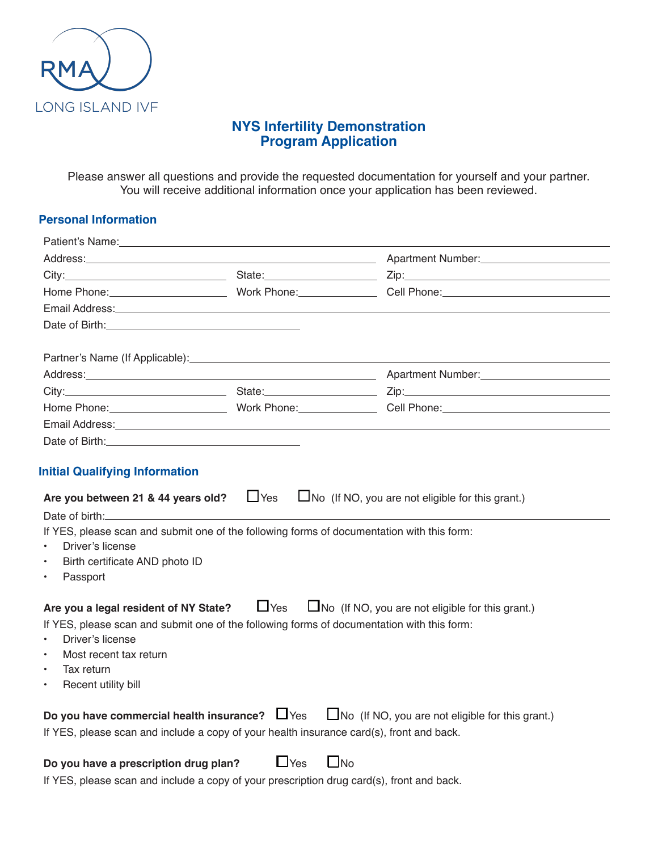

# **NYS Infertility Demonstration Program Application**

Please answer all questions and provide the requested documentation for yourself and your partner. You will receive additional information once your application has been reviewed.

#### **Personal Information**

|                                                                                                                                                                                                                                                                                |                         | Address: Andreas: Address: Application of the Contract of the Contract of the Contract of Application of Application of the Contract of Application of Application of Application of Application of Application of Application |
|--------------------------------------------------------------------------------------------------------------------------------------------------------------------------------------------------------------------------------------------------------------------------------|-------------------------|--------------------------------------------------------------------------------------------------------------------------------------------------------------------------------------------------------------------------------|
|                                                                                                                                                                                                                                                                                |                         |                                                                                                                                                                                                                                |
|                                                                                                                                                                                                                                                                                |                         |                                                                                                                                                                                                                                |
|                                                                                                                                                                                                                                                                                |                         | Email Address: No. 2006. The Contract of the Contract of the Contract of the Contract of the Contract of the Contract of the Contract of the Contract of the Contract of the Contract of the Contract of the Contract of the C |
|                                                                                                                                                                                                                                                                                |                         |                                                                                                                                                                                                                                |
|                                                                                                                                                                                                                                                                                |                         |                                                                                                                                                                                                                                |
| Partner's Name (If Applicable): Name of the state of the state of the state of the state of the state of the state of the state of the state of the state of the state of the state of the state of the state of the state of                                                  |                         |                                                                                                                                                                                                                                |
|                                                                                                                                                                                                                                                                                |                         | Address: Andreas: Address: Application of the Contract of the Contract of the Contract of Application of Application of the Contract of Application of Application of Application of Application of Application of Application |
|                                                                                                                                                                                                                                                                                |                         |                                                                                                                                                                                                                                |
|                                                                                                                                                                                                                                                                                |                         |                                                                                                                                                                                                                                |
| Email Address: No. 2020 No. 2020 No. 2020 No. 2020 No. 2020 No. 2020 No. 2020 No. 2020 No. 2020 No. 2020 No. 20                                                                                                                                                                |                         |                                                                                                                                                                                                                                |
|                                                                                                                                                                                                                                                                                |                         |                                                                                                                                                                                                                                |
|                                                                                                                                                                                                                                                                                |                         |                                                                                                                                                                                                                                |
| <b>Initial Qualifying Information</b>                                                                                                                                                                                                                                          |                         |                                                                                                                                                                                                                                |
| Are you between 21 & 44 years old? $\Box$ Yes<br>Date of birth: Note of the state of the state of the state of the state of the state of the state of the state of the state of the state of the state of the state of the state of the state of the state of the state of the |                         | $\Box$ No (If NO, you are not eligible for this grant.)                                                                                                                                                                        |
| If YES, please scan and submit one of the following forms of documentation with this form:                                                                                                                                                                                     |                         |                                                                                                                                                                                                                                |
| Driver's license<br>$\bullet$                                                                                                                                                                                                                                                  |                         |                                                                                                                                                                                                                                |
| Birth certificate AND photo ID<br>$\bullet$                                                                                                                                                                                                                                    |                         |                                                                                                                                                                                                                                |
| Passport<br>$\bullet$                                                                                                                                                                                                                                                          |                         |                                                                                                                                                                                                                                |
|                                                                                                                                                                                                                                                                                |                         |                                                                                                                                                                                                                                |
| Are you a legal resident of NY State? $\Box$ Yes                                                                                                                                                                                                                               |                         | $\Box$ No (If NO, you are not eligible for this grant.)                                                                                                                                                                        |
| If YES, please scan and submit one of the following forms of documentation with this form:                                                                                                                                                                                     |                         |                                                                                                                                                                                                                                |
| Driver's license                                                                                                                                                                                                                                                               |                         |                                                                                                                                                                                                                                |
| Most recent tax return                                                                                                                                                                                                                                                         |                         |                                                                                                                                                                                                                                |
| Tax return                                                                                                                                                                                                                                                                     |                         |                                                                                                                                                                                                                                |
| Recent utility bill<br>$\bullet$                                                                                                                                                                                                                                               |                         |                                                                                                                                                                                                                                |
| Do you have commercial health insurance? $\Box$ Yes $\Box$ No (If NO, you are not eligible for this grant.)                                                                                                                                                                    |                         |                                                                                                                                                                                                                                |
| If YES, please scan and include a copy of your health insurance card(s), front and back.                                                                                                                                                                                       |                         |                                                                                                                                                                                                                                |
|                                                                                                                                                                                                                                                                                |                         |                                                                                                                                                                                                                                |
| Do you have a prescription drug plan?                                                                                                                                                                                                                                          | $\Box$ Yes<br>$\Box$ No |                                                                                                                                                                                                                                |
| If YES, please scan and include a copy of your prescription drug card(s), front and back.                                                                                                                                                                                      |                         |                                                                                                                                                                                                                                |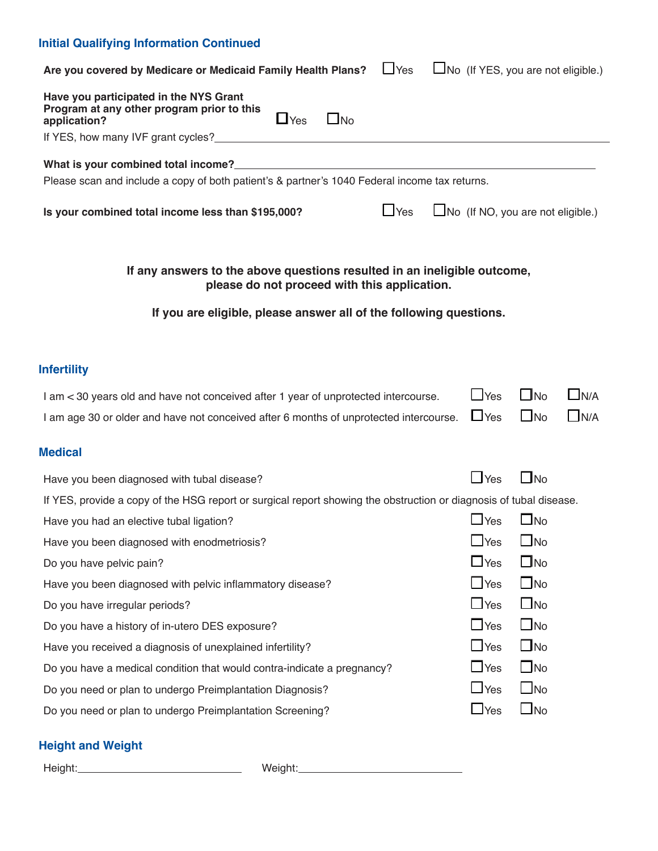## **Initial Qualifying Information Continued**

| $L$ Yes<br>Are you covered by Medicare or Medicaid Family Health Plans?                                                         | $\Box$ No (If YES, you are not eligible.) |                        |            |
|---------------------------------------------------------------------------------------------------------------------------------|-------------------------------------------|------------------------|------------|
| Have you participated in the NYS Grant<br>Program at any other program prior to this<br>$\Box$ Yes<br>$\Box$ No<br>application? |                                           |                        |            |
|                                                                                                                                 |                                           |                        |            |
|                                                                                                                                 |                                           |                        |            |
| Please scan and include a copy of both patient's & partner's 1040 Federal income tax returns.                                   |                                           |                        |            |
| $\Box$ Yes<br>Is your combined total income less than \$195,000?                                                                | $\Box$ No (If NO, you are not eligible.)  |                        |            |
| If any answers to the above questions resulted in an ineligible outcome,<br>please do not proceed with this application.        |                                           |                        |            |
| If you are eligible, please answer all of the following questions.                                                              |                                           |                        |            |
| <b>Infertility</b>                                                                                                              |                                           |                        |            |
| I am < 30 years old and have not conceived after 1 year of unprotected intercourse.                                             | $\Box$ Yes                                | $\Box$ No              | $\Box$ N/A |
| I am age 30 or older and have not conceived after 6 months of unprotected intercourse.                                          | $\Box$ Yes                                | $\Box$ No              | $\Box$ N/A |
| <b>Medical</b>                                                                                                                  |                                           |                        |            |
| Have you been diagnosed with tubal disease?                                                                                     |                                           |                        |            |
|                                                                                                                                 | $\Box$ Yes                                | $\Box$ No              |            |
| If YES, provide a copy of the HSG report or surgical report showing the obstruction or diagnosis of tubal disease.              |                                           |                        |            |
| Have you had an elective tubal ligation?                                                                                        | $\Box$ Yes                                | $\square$ No           |            |
| Have you been diagnosed with enodmetriosis?                                                                                     | $\Box$ Yes                                | $\Box$ No              |            |
| Do you have pelvic pain?                                                                                                        | $\Box$ Yes                                | $\Box$ No              |            |
| Have you been diagnosed with pelvic inflammatory disease?                                                                       | $\Box$ Yes                                | $\Box$ No              |            |
| Do you have irregular periods?                                                                                                  | $\Box$ Yes                                | $\Box$ No              |            |
| Do you have a history of in-utero DES exposure?                                                                                 | $\Box$ Yes                                | $\Box$ No              |            |
| Have you received a diagnosis of unexplained infertility?                                                                       | $\Box$ Yes                                | $\Box$ No              |            |
| Do you have a medical condition that would contra-indicate a pregnancy?                                                         | $\Box$ Yes                                | $\Box$ No              |            |
| Do you need or plan to undergo Preimplantation Diagnosis?                                                                       | $\Box$ Yes<br>$\Box$ Yes                  | $\Box$ No<br>$\Box$ No |            |

# **Height and Weight**

Height: Weight: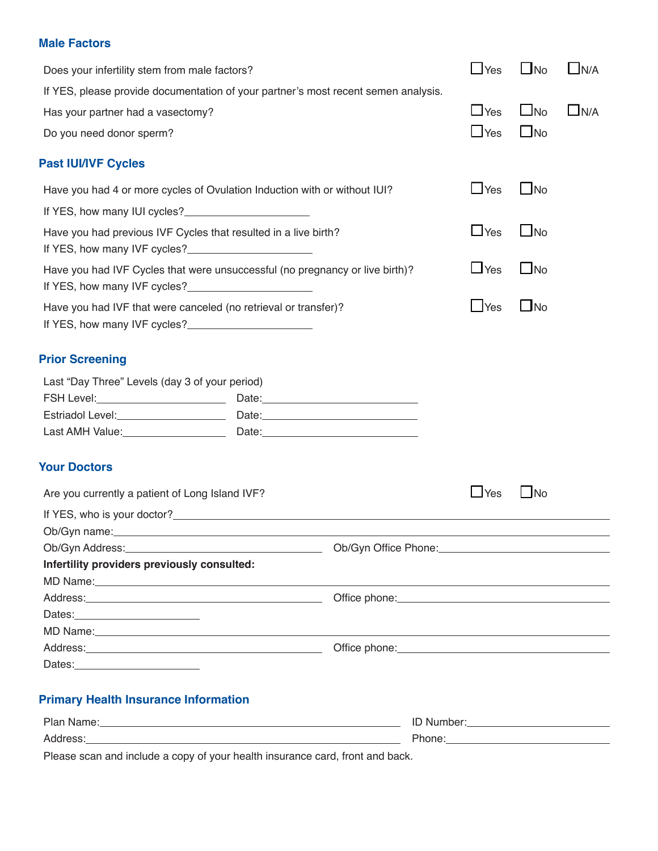#### **Male Factors**

| Does your infertility stem from male factors?                                                                                                                                                                                  |                                                                                                                           | $\Box$ Yes | $\Box$ No | LN/A       |
|--------------------------------------------------------------------------------------------------------------------------------------------------------------------------------------------------------------------------------|---------------------------------------------------------------------------------------------------------------------------|------------|-----------|------------|
| If YES, please provide documentation of your partner's most recent semen analysis.                                                                                                                                             |                                                                                                                           |            |           |            |
| Has your partner had a vasectomy?                                                                                                                                                                                              |                                                                                                                           | $\Box$ Yes | $\Box$ No | $\Box$ N/A |
| Do you need donor sperm?                                                                                                                                                                                                       |                                                                                                                           | $\Box$ Yes | $\Box$ No |            |
|                                                                                                                                                                                                                                |                                                                                                                           |            |           |            |
| <b>Past IUI/IVF Cycles</b>                                                                                                                                                                                                     |                                                                                                                           |            |           |            |
| Have you had 4 or more cycles of Ovulation Induction with or without IUI?                                                                                                                                                      |                                                                                                                           | $\Box$ Yes | $\Box$ No |            |
| If YES, how many IUI cycles?                                                                                                                                                                                                   |                                                                                                                           |            |           |            |
| Have you had previous IVF Cycles that resulted in a live birth?<br>If YES, how many IVF cycles?                                                                                                                                |                                                                                                                           | $\Box$ Yes | $\Box$ No |            |
| Have you had IVF Cycles that were unsuccessful (no pregnancy or live birth)?<br>If YES, how many IVF cycles?                                                                                                                   |                                                                                                                           | $\Box$ Yes | $\Box$ No |            |
| Have you had IVF that were canceled (no retrieval or transfer)?<br>If YES, how many IVF cycles?                                                                                                                                |                                                                                                                           | $\Box$ Yes | $\Box$ No |            |
| <b>Prior Screening</b>                                                                                                                                                                                                         |                                                                                                                           |            |           |            |
| Last "Day Three" Levels (day 3 of your period)                                                                                                                                                                                 |                                                                                                                           |            |           |            |
|                                                                                                                                                                                                                                |                                                                                                                           |            |           |            |
|                                                                                                                                                                                                                                |                                                                                                                           |            |           |            |
|                                                                                                                                                                                                                                |                                                                                                                           |            |           |            |
| <b>Your Doctors</b>                                                                                                                                                                                                            |                                                                                                                           |            |           |            |
| Are you currently a patient of Long Island IVF?                                                                                                                                                                                |                                                                                                                           | $\Box$ Yes | $\Box$ No |            |
|                                                                                                                                                                                                                                |                                                                                                                           |            |           |            |
| Ob/Gyn name:                                                                                                                                                                                                                   |                                                                                                                           |            |           |            |
| Ob/Gyn Address: National Address: National Address: National Address: National Address: National Address: National Address: National Address: National Address: National Address: National Address: National Address: National |                                                                                                                           |            |           |            |
| Infertility providers previously consulted:                                                                                                                                                                                    |                                                                                                                           |            |           |            |
|                                                                                                                                                                                                                                |                                                                                                                           |            |           |            |
|                                                                                                                                                                                                                                | Office phone: <u>with a series of the series of the series of the series of the series of the series of the series of</u> |            |           |            |
|                                                                                                                                                                                                                                |                                                                                                                           |            |           |            |
|                                                                                                                                                                                                                                |                                                                                                                           |            |           |            |
|                                                                                                                                                                                                                                |                                                                                                                           |            |           |            |
| Dates: Dates:                                                                                                                                                                                                                  |                                                                                                                           |            |           |            |
| <b>Primary Health Insurance Information</b>                                                                                                                                                                                    |                                                                                                                           |            |           |            |
|                                                                                                                                                                                                                                |                                                                                                                           |            |           |            |
|                                                                                                                                                                                                                                |                                                                                                                           |            |           |            |

Please scan and include a copy of your health insurance card, front and back.